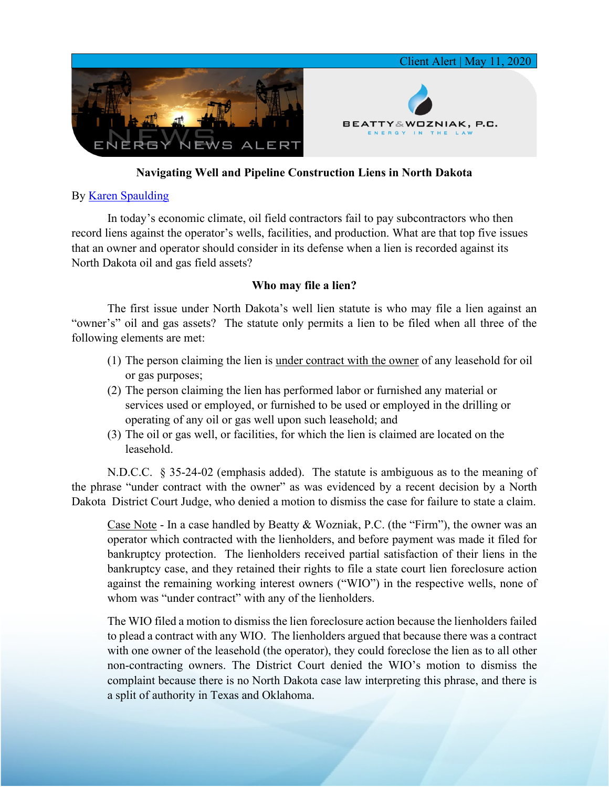

# **Navigating Well and Pipeline Construction Liens in North Dakota**

## By [Karen Spaulding](https://www.bwenergylaw.com/karen-spaulding)

In today's economic climate, oil field contractors fail to pay subcontractors who then record liens against the operator's wells, facilities, and production. What are that top five issues that an owner and operator should consider in its defense when a lien is recorded against its North Dakota oil and gas field assets?

## **Who may file a lien?**

The first issue under North Dakota's well lien statute is who may file a lien against an "owner's" oil and gas assets? The statute only permits a lien to be filed when all three of the following elements are met:

- (1) The person claiming the lien is under contract with the owner of any leasehold for oil or gas purposes;
- (2) The person claiming the lien has performed labor or furnished any material or services used or employed, or furnished to be used or employed in the drilling or operating of any oil or gas well upon such leasehold; and
- (3) The oil or gas well, or facilities, for which the lien is claimed are located on the leasehold.

N.D.C.C. § 35-24-02 (emphasis added). The statute is ambiguous as to the meaning of the phrase "under contract with the owner" as was evidenced by a recent decision by a North Dakota District Court Judge, who denied a motion to dismiss the case for failure to state a claim.

Case Note - In a case handled by Beatty & Wozniak, P.C. (the "Firm"), the owner was an operator which contracted with the lienholders, and before payment was made it filed for bankruptcy protection. The lienholders received partial satisfaction of their liens in the bankruptcy case, and they retained their rights to file a state court lien foreclosure action against the remaining working interest owners ("WIO") in the respective wells, none of whom was "under contract" with any of the lienholders.

The WIO filed a motion to dismiss the lien foreclosure action because the lienholders failed to plead a contract with any WIO. The lienholders argued that because there was a contract with one owner of the leasehold (the operator), they could foreclose the lien as to all other non-contracting owners. The District Court denied the WIO's motion to dismiss the complaint because there is no North Dakota case law interpreting this phrase, and there is a split of authority in Texas and Oklahoma.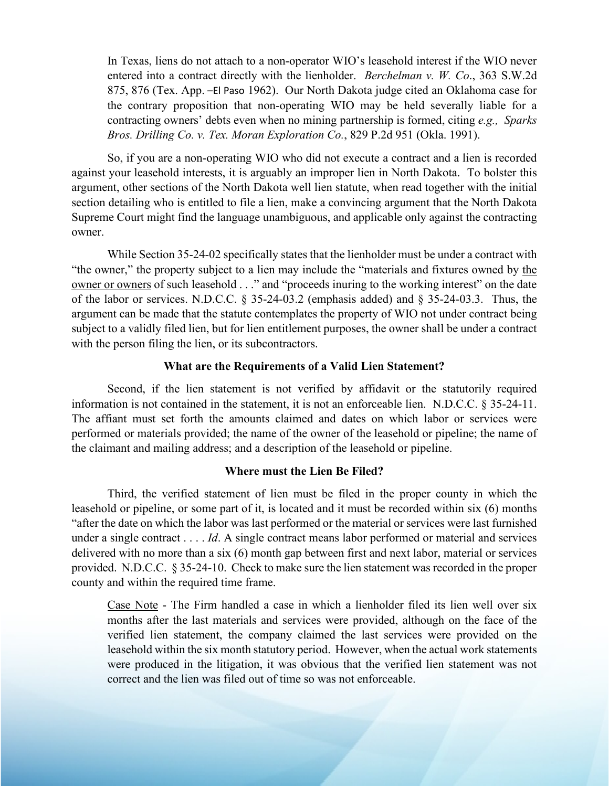In Texas, liens do not attach to a non-operator WIO's leasehold interest if the WIO never entered into a contract directly with the lienholder. *Berchelman v. W. Co*., 363 S.W.2d 875, 876 (Tex. App. –El Paso 1962). Our North Dakota judge cited an Oklahoma case for the contrary proposition that non-operating WIO may be held severally liable for a contracting owners' debts even when no mining partnership is formed, citing *e.g., Sparks Bros. Drilling Co. v. Tex. Moran Exploration Co.*, 829 P.2d 951 (Okla. 1991).

So, if you are a non-operating WIO who did not execute a contract and a lien is recorded against your leasehold interests, it is arguably an improper lien in North Dakota. To bolster this argument, other sections of the North Dakota well lien statute, when read together with the initial section detailing who is entitled to file a lien, make a convincing argument that the North Dakota Supreme Court might find the language unambiguous, and applicable only against the contracting owner.

While Section 35-24-02 specifically states that the lienholder must be under a contract with "the owner," the property subject to a lien may include the "materials and fixtures owned by the owner or owners of such leasehold . . ." and "proceeds inuring to the working interest" on the date of the labor or services. N.D.C.C. § 35-24-03.2 (emphasis added) and § 35-24-03.3. Thus, the argument can be made that the statute contemplates the property of WIO not under contract being subject to a validly filed lien, but for lien entitlement purposes, the owner shall be under a contract with the person filing the lien, or its subcontractors.

### **What are the Requirements of a Valid Lien Statement?**

Second, if the lien statement is not verified by affidavit or the statutorily required information is not contained in the statement, it is not an enforceable lien. N.D.C.C. § 35-24-11. The affiant must set forth the amounts claimed and dates on which labor or services were performed or materials provided; the name of the owner of the leasehold or pipeline; the name of the claimant and mailing address; and a description of the leasehold or pipeline.

#### **Where must the Lien Be Filed?**

Third, the verified statement of lien must be filed in the proper county in which the leasehold or pipeline, or some part of it, is located and it must be recorded within six (6) months "after the date on which the labor was last performed or the material or services were last furnished under a single contract . . . . *Id*. A single contract means labor performed or material and services delivered with no more than a six (6) month gap between first and next labor, material or services provided. N.D.C.C. § 35-24-10. Check to make sure the lien statement was recorded in the proper county and within the required time frame.

Case Note - The Firm handled a case in which a lienholder filed its lien well over six months after the last materials and services were provided, although on the face of the verified lien statement, the company claimed the last services were provided on the leasehold within the six month statutory period. However, when the actual work statements were produced in the litigation, it was obvious that the verified lien statement was not correct and the lien was filed out of time so was not enforceable.